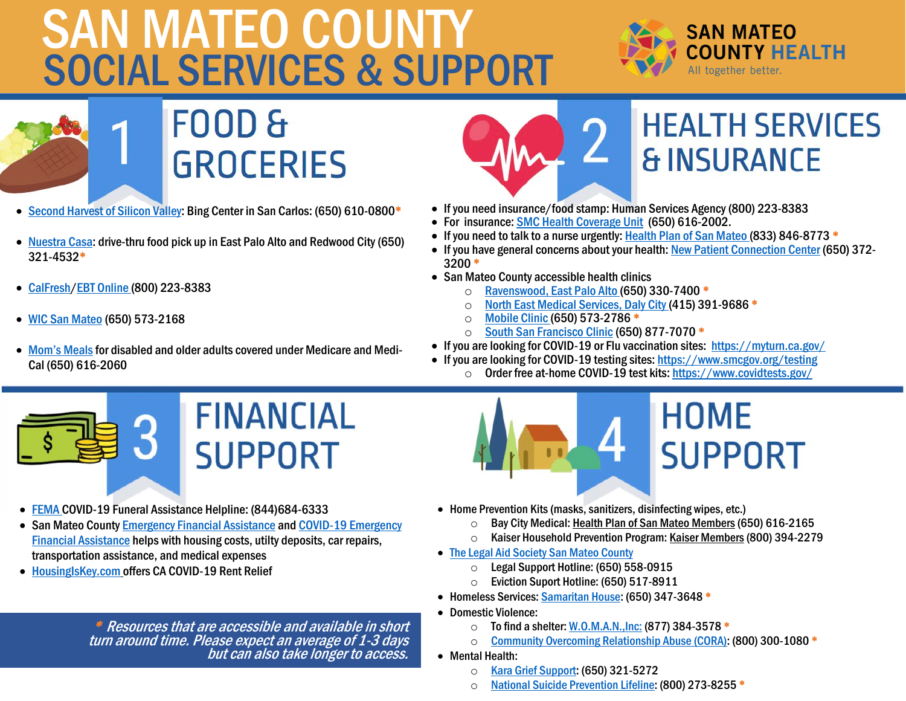## SALAH CEDI SOCIAL SERVICES & SUPPORT SAN MATEO COUNTY



**FOOD & GROCERIES** 

- [Second Harvest of Silicon Valley:](https://www.shfb.org/) Bing Center in San Carlos: (650) 610-0800\*
- [Nuestra Casa:](https://nuestracasa.org/our-work/food-distribution/) drive-thru food pick up in East Palo Alto and Redwood City (650) 321-4532\*
- [CalFresh/](https://www.getcalfresh.org/?source=g2&gclid=Cj0KCQjwvb75BRD1ARIsAP6LcquD-eYzRW2RZ0C-Oq2X8Z9y33SzkjVQxDJhGHJhIaPzpTLz6SAMBDgaAuBCEALw_wcB)[EBT Online](https://www.cdss.ca.gov/ebt-online) (800) 223-8383
- [WIC San Mateo](https://www.smchealth.org/wic) (650) 573-2168
- Mom's Meals for disabled and older adults covered under Medicare and Medi-Cal (650) 616-2060



## **HEALTH SERVICES & INSURANCE**

- If you need insurance/food stamp: Human Services Agency (800) 223-8383
- For insurance[: SMC Health Coverage Unit](https://www.smchealth.org/health-insurance) (650) 616-2002.
- If you need to talk to a nurse urgently[: Health Plan of San Mateo](https://www.hpsm.org/) (833) 846-8773 \*
- If you have general concerns about your health[: New Patient Connection Center](https://www.smchealth.org/smmc-new-patients) (650) 372- 3200 \*
- San Mateo County accessible health clinics
	- O [Ravenswood, East Palo Alto](https://ravenswoodfhc.org/) (650) 330-7400 <sup>\*</sup><br>○ North East Medical Services, Daly City (415) 39
	- $\circ$  [North East Medical Services, Daly City](https://www.nems.org/index.html) (415) 391-9686  $^*$ <br> $\circ$  Mobile Clinic (650) 573-2786  $^*$
	- o [Mobile Clinic](https://www.smchealth.org/general-information/mobile-clinic) (650) 573-2786 <sup>\*</sup><br>○ South San Francisco Clinic (650
	- [South San Francisco Clinic](https://www.smchealth.org/location/south-san-francisco-clinic) (650) 877-7070 \*
- If you are looking for COVID-19 or Flu vaccination sites: <https://myturn.ca.gov/>
- If you are looking for COVID-19 testing sites: [https://www.smcgov.org/testing](https://protect-us.mimecast.com/s/6byrCgJDnYF0RMY2SoNDl6) o Order free at-home COVID-19 test kits: <https://www.covidtests.gov/>



- [FEMA](https://www.fema.gov/disaster/coronavirus/economic/funeral-assistance) COVID-19 Funeral Assistance Helpline: (844)684-6333
- San Mateo County [Emergency Financial Assistance](https://hsa.smcgov.org/sites/hsa.smcgov.org/files/Resources%20for%20COVID%20Impacts%20-%20Revised%20Flyer%20-%20August%202020.pdf) and COVID-19 Emergency [Financial Assistance](https://hsa.smcgov.org/sites/hsa.smcgov.org/files/Resources%20for%20COVID%20Impacts%20-%20Revised%20Flyer%20-%20August%202020.pdf) helps with housing costs, utilty deposits, car repairs, transportation assistance, and medical expenses
- [HousingIsKey.com](https://housing.ca.gov/) offers CA COVID-19 Rent Relief

\* Resources that are accessible and available in short turn around time. Please expect an average of 1-3 days but can also take longer to access.

## **HOME SUPPORT**

- Home Prevention Kits (masks, sanitizers, disinfecting wipes, etc.)
	- o Bay City Medical: <u>Health Plan of San Mateo Members</u> (650) 616-2165<br>○ Kaiser Household Prevention Program: Kaiser Members (800) 394-227
	- Kaiser Household Prevention Program: Kaiser Members (800) 394-2279
- [The Legal Aid Society San Mateo County](https://www.legalaidsmc.org/housing-resources)
	- $\circ$  Legal Support Hotline: (650) 558-0915
	- o Eviction Suport Hotline: (650) 517-8911
- Homeless Services[: Samaritan House:](https://samaritanhousesanmateo.org/service/housing-services/) (650) 347-3648 \*
- Domestic Violence:
	- o To find a shelter: <u>W.O.M.A.N.,Inc:</u> (877) 384-3578 <sup>\*</sup><br>○ Community Overcoming Relationship Abuse (CORA):
	- [Community Overcoming Relationship Abuse \(CORA\):](http://www.corasupport.org/) (800) 300-1080 \*
- Mental Health:
	- o [Kara Grief Support:](https://kara-grief.org/) (650) 321-5272
	- o [National Suicide Prevention Lifeline:](https://suicidepreventionlifeline.org/) (800) 273-8255 \*